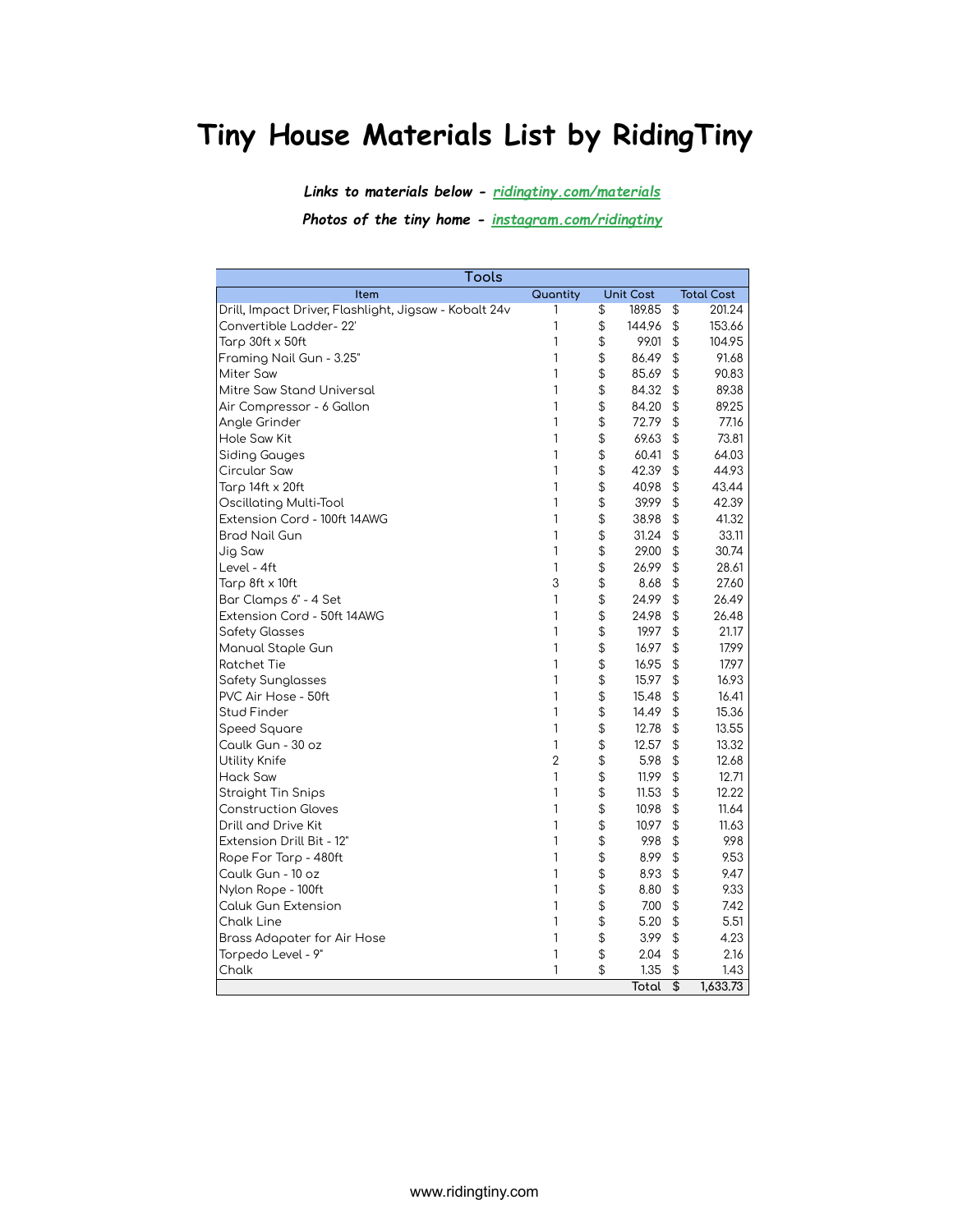## Tiny House Materials List by RidingTiny

Links to materials below - ridingtiny.com/materials

Photos of the tiny home - instagram.com/ridingtiny

| Tools                                                 |                |                  |                                               |                   |
|-------------------------------------------------------|----------------|------------------|-----------------------------------------------|-------------------|
| Item                                                  | Quantity       | <b>Unit Cost</b> |                                               | <b>Total Cost</b> |
| Drill, Impact Driver, Flashlight, Jigsaw - Kobalt 24v | 1              | \$<br>189.85     | \$                                            | 201.24            |
| Convertible Ladder-22'                                | 1              | \$<br>144.96     | $$\mathfrak{P}$$                              | 153.66            |
| Tarp 30ft x 50ft                                      | 1              | \$<br>99.01      | \$                                            | 104.95            |
| Framing Nail Gun - 3.25"                              | 1              | \$<br>86.49      | \$                                            | 91.68             |
| <b>Miter Saw</b>                                      | 1              | \$<br>85.69      | \$                                            | 90.83             |
| Mitre Saw Stand Universal                             | 1              | \$<br>84.32      | \$                                            | 89.38             |
| Air Compressor - 6 Gallon                             | 1              | \$<br>84.20      | \$                                            | 89.25             |
| Angle Grinder                                         | 1              | \$<br>72.79      | \$                                            | 77.16             |
| Hole Saw Kit                                          | 1              | \$<br>69.63      | \$                                            | 73.81             |
| Siding Gauges                                         | 1              | \$<br>60.41      | \$                                            | 64.03             |
| Circular Saw                                          | 1              | \$<br>42.39      | \$                                            | 44.93             |
| Tarp 14ft x 20ft                                      | 1              | \$<br>40.98      | \$                                            | 43.44             |
| Oscillating Multi-Tool                                | 1              | \$<br>39.99      | $\, \, \raisebox{12pt}{$\scriptstyle \circ$}$ | 42.39             |
| Extension Cord - 100ft 14AWG                          | 1              | \$<br>38.98      | \$                                            | 41.32             |
| Brad Nail Gun                                         | 1              | \$<br>31.24      | \$                                            | 33.11             |
| Jig Saw                                               | 1              | \$<br>29.00      | \$                                            | 30.74             |
| Level - 4ft                                           | 1              | \$<br>26.99      | \$                                            | 28.61             |
| Tarp 8ft x 10ft                                       | 3              | \$<br>8.68       | \$                                            | 27.60             |
| Bar Clamps 6" - 4 Set                                 | 1              | \$<br>24.99      | $\frac{1}{2}$                                 | 26.49             |
| Extension Cord - 50ft 14AWG                           | 1              | \$<br>24.98      | \$                                            | 26.48             |
| <b>Safety Glasses</b>                                 | 1              | \$<br>19.97      | \$                                            | 21.17             |
| Manual Staple Gun                                     | 1              | \$<br>16.97      | $\frac{1}{2}$                                 | 17.99             |
| <b>Ratchet Tie</b>                                    | 1              | \$<br>16.95      | \$                                            | 17.97             |
| Safety Sunglasses                                     | 1              | \$<br>15.97      | \$                                            | 16.93             |
| PVC Air Hose - 50ft                                   | 1              | \$<br>15.48      | \$                                            | 16.41             |
| Stud Finder                                           | 1              | \$<br>14.49      | \$                                            | 15.36             |
| Speed Square                                          | 1              | \$<br>12.78      | \$                                            | 13.55             |
| Caulk Gun - 30 oz                                     | 1              | \$<br>12.57      | $\, \, \raisebox{12pt}{$\scriptstyle \circ$}$ | 13.32             |
| Utility Knife                                         | $\overline{2}$ | \$<br>5.98       | \$                                            | 12.68             |
| Hack Saw                                              | 1              | \$<br>11.99      | \$                                            | 12.71             |
| <b>Straight Tin Snips</b>                             | 1              | \$<br>11.53      | $\, \, \raisebox{12pt}{$\scriptstyle \circ$}$ | 12.22             |
| <b>Construction Gloves</b>                            | 1              | \$<br>10.98      | \$                                            | 11.64             |
| Drill and Drive Kit                                   | 1              | \$<br>10.97      | \$                                            | 11.63             |
| Extension Drill Bit - 12"                             | 1              | \$<br>9.98       | \$                                            | 9.98              |
| Rope For Tarp - 480ft                                 | 1              | \$<br>8.99       | \$                                            | 9.53              |
| Caulk Gun - 10 oz                                     | 1              | \$<br>8.93       | \$                                            | 9.47              |
| Nylon Rope - 100ft                                    | 1              | \$<br>8.80       | \$                                            | 9.33              |
| <b>Caluk Gun Extension</b>                            | 1              | \$<br>7.00       | \$                                            | 7.42              |
| <b>Chalk Line</b>                                     | 1              | \$<br>5.20       | \$                                            | 5.51              |
| Brass Adapater for Air Hose                           | 1              | \$<br>3.99       | \$                                            | 4.23              |
| Torpedo Level - 9"                                    | 1              | \$<br>2.04       | \$                                            | 2.16              |
| Chalk                                                 | 1              | \$<br>1.35       | \$                                            | 1.43              |
|                                                       |                | Total            | \$                                            | 1,633.73          |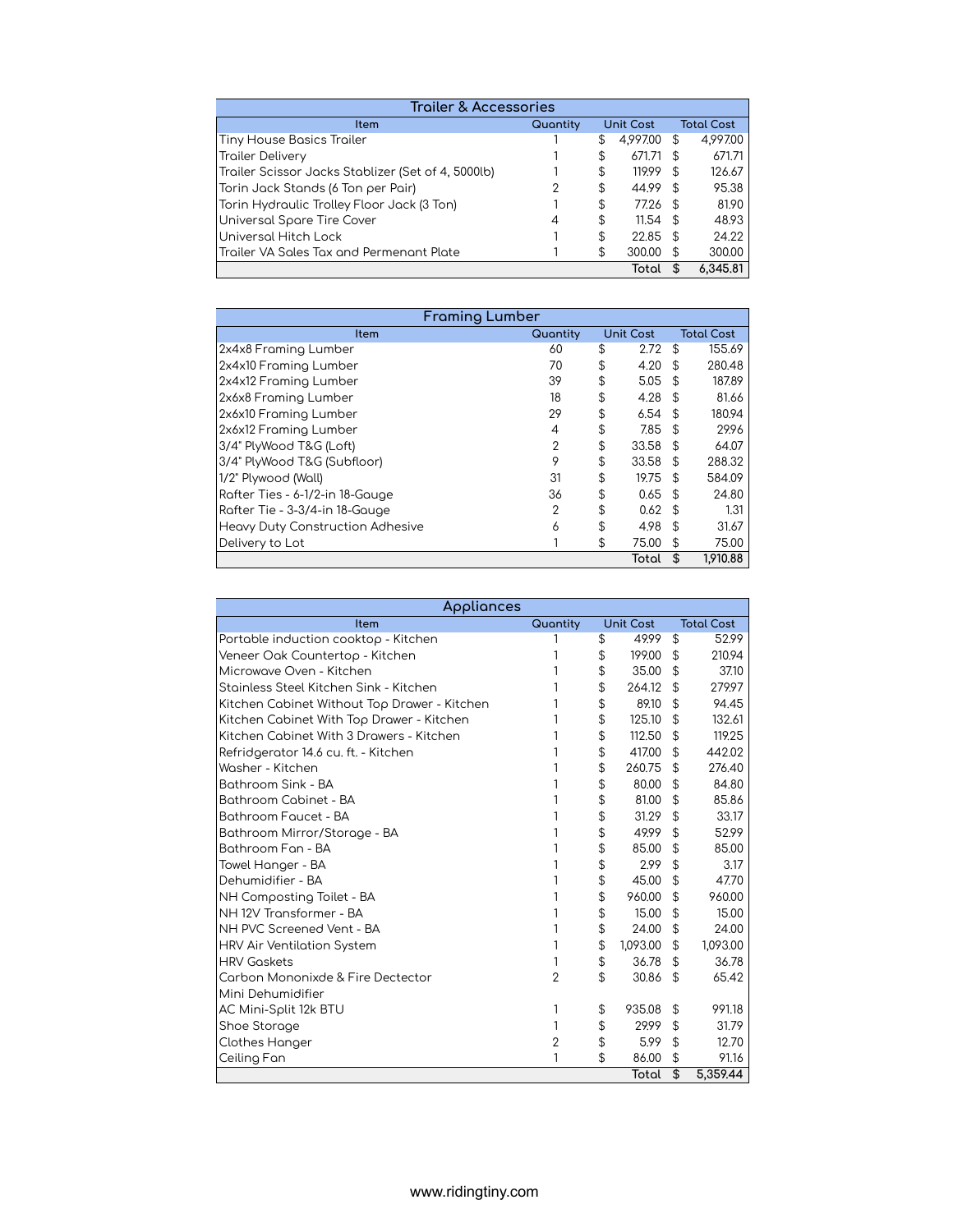| Trailer & Accessories                              |          |                  |            |               |                   |  |  |  |  |  |
|----------------------------------------------------|----------|------------------|------------|---------------|-------------------|--|--|--|--|--|
| Item                                               | Quantity | <b>Unit Cost</b> |            |               | <b>Total Cost</b> |  |  |  |  |  |
| Tiny House Basics Trailer                          |          | S                | 4.997.00   | \$            | 4.997.00          |  |  |  |  |  |
| <b>Trailer Delivery</b>                            |          | \$               | 671.71     | $\mathcal{F}$ | 671.71            |  |  |  |  |  |
| Trailer Scissor Jacks Stablizer (Set of 4, 5000lb) |          | \$               | 119.99     | - \$          | 126.67            |  |  |  |  |  |
| Torin Jack Stands (6 Ton per Pair)                 |          | \$               | 44.99      | - \$          | 95.38             |  |  |  |  |  |
| Torin Hydraulic Trolley Floor Jack (3 Ton)         |          | \$               | 77.26      | - \$          | 81.90             |  |  |  |  |  |
| Universal Spare Tire Cover                         |          | \$               | $11.54$ \$ |               | 48.93             |  |  |  |  |  |
| Universal Hitch Lock                               |          | \$               | 22.85      | $\mathcal{F}$ | 24.22             |  |  |  |  |  |
| Trailer VA Sales Tax and Permenant Plate           |          | \$               | 300.00     | £.            | 300.00            |  |  |  |  |  |
|                                                    |          |                  | Total      |               | 6.345.81          |  |  |  |  |  |

| <b>Framing Lumber</b>                   |                |                  |            |                   |          |  |  |  |
|-----------------------------------------|----------------|------------------|------------|-------------------|----------|--|--|--|
| Item                                    | Quantity       | <b>Unit Cost</b> |            | <b>Total Cost</b> |          |  |  |  |
| 2x4x8 Framing Lumber                    | 60             | \$               | 2.72       | \$                | 155.69   |  |  |  |
| 2x4x10 Framing Lumber                   | 70             | \$               | 4.20       | \$                | 280.48   |  |  |  |
| 2x4x12 Framing Lumber                   | 39             | \$               | 5.05       | - \$              | 187.89   |  |  |  |
| 2x6x8 Framing Lumber                    | 18             | \$               | 4.28       | - \$              | 81.66    |  |  |  |
| 2x6x10 Framing Lumber                   | 29             | \$               | 6.54       | - \$              | 180.94   |  |  |  |
| 2x6x12 Framing Lumber                   | 4              | \$               | 7.85       | $\mathfrak{L}$    | 29.96    |  |  |  |
| 3/4" PlyWood T&G (Loft)                 | 2              | \$               | $33.58$ \$ |                   | 64.07    |  |  |  |
| 3/4" PlyWood T&G (Subfloor)             | 9              | \$               | 33.58      | $\mathfrak{L}$    | 288.32   |  |  |  |
| 1/2" Plywood (Wall)                     | 31             | \$               | 19.75      | - \$              | 584.09   |  |  |  |
| Rafter Ties - 6-1/2-in 18-Gauge         | 36             | \$               | 0.65       | - \$              | 24.80    |  |  |  |
| Rafter Tie - 3-3/4-in 18-Gauge          | $\overline{2}$ | \$               | 0.62       | - \$              | 1.31     |  |  |  |
| <b>Heavy Duty Construction Adhesive</b> | 6              | \$               | 4.98       | -\$               | 31.67    |  |  |  |
| Delivery to Lot                         |                | \$               | 75.00      | \$                | 75.00    |  |  |  |
|                                         |                |                  | Total      | \$                | 1,910.88 |  |  |  |

| Appliances                                   |                |    |                  |    |                   |  |
|----------------------------------------------|----------------|----|------------------|----|-------------------|--|
| Item                                         | Quantity       |    | <b>Unit Cost</b> |    | <b>Total Cost</b> |  |
| Portable induction cooktop - Kitchen         |                | \$ | 49.99            | \$ | 52.99             |  |
| Veneer Oak Countertop - Kitchen              |                | \$ | 199.00           | \$ | 210.94            |  |
| Microwave Oven - Kitchen                     |                | \$ | 35.00            | \$ | 37.10             |  |
| Stainless Steel Kitchen Sink - Kitchen       |                | \$ | 264.12           | \$ | 279.97            |  |
| Kitchen Cabinet Without Top Drawer - Kitchen |                | \$ | 89.10            | \$ | 94.45             |  |
| Kitchen Cabinet With Top Drawer - Kitchen    |                | \$ | 125.10           | \$ | 132.61            |  |
| Kitchen Cabinet With 3 Drawers - Kitchen     |                | \$ | 112.50           | \$ | 119.25            |  |
| Refridgerator 14.6 cu. ft. - Kitchen         |                | \$ | 417.00           | \$ | 442.02            |  |
| Washer - Kitchen                             |                | \$ | 260.75           | \$ | 276.40            |  |
| Bothroom Sink - BA                           |                | \$ | 80.00            | \$ | 84.80             |  |
| Bathroom Cabinet - BA                        |                | \$ | 81.00            | \$ | 85.86             |  |
| Bathroom Faucet - BA                         |                | \$ | 31.29            | \$ | 33.17             |  |
| Bathroom Mirror/Storage - BA                 |                | \$ | 49.99            | \$ | 52.99             |  |
| Bathroom Fan - BA                            |                | \$ | 85.00            | \$ | 85.00             |  |
| Towel Hanger - BA                            |                | \$ | 2.99             | \$ | 3.17              |  |
| Dehumidifier - BA                            |                | \$ | 45.00            | \$ | 47.70             |  |
| NH Composting Toilet - BA                    |                | \$ | 960.00           | \$ | 960.00            |  |
| NH 12V Transformer - BA                      |                | \$ | 15.00            | \$ | 15.00             |  |
| NH PVC Screened Vent - BA                    |                | \$ | 24.00            | \$ | 24.00             |  |
| <b>HRV Air Ventilation System</b>            |                | \$ | 1,093.00         | \$ | 1,093.00          |  |
| <b>HRV Goskets</b>                           |                | \$ | 36.78            | \$ | 36.78             |  |
| Carbon Mononixde & Fire Dectector            | $\overline{2}$ | \$ | 30.86            | \$ | 65.42             |  |
| Mini Dehumidifier                            |                |    |                  |    |                   |  |
| AC Mini-Split 12k BTU                        | 1              | \$ | 935.08           | \$ | 991.18            |  |
| Shoe Storage                                 | 1              | \$ | 29.99            | \$ | 31.79             |  |
| Clothes Hanger                               | 2              | \$ | 5.99             | \$ | 12.70             |  |
| Ceiling Fan                                  | 1              | \$ | 86.00            | \$ | 91.16             |  |
|                                              |                |    | Total            | \$ | 5,359.44          |  |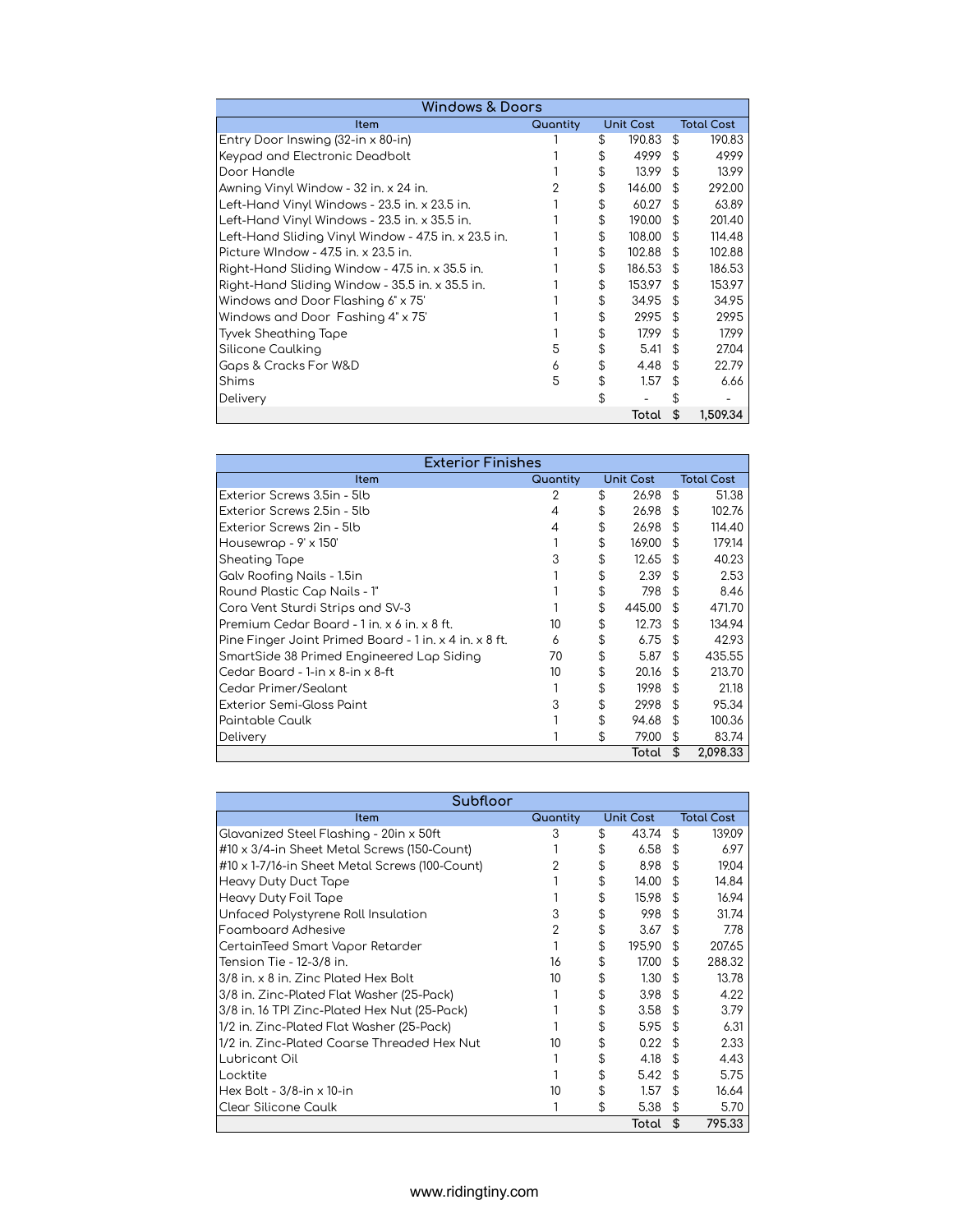| <b>Windows &amp; Doors</b>                           |          |     |                  |     |                   |  |  |
|------------------------------------------------------|----------|-----|------------------|-----|-------------------|--|--|
| ltem                                                 | Quantity |     | <b>Unit Cost</b> |     | <b>Total Cost</b> |  |  |
| Entry Door Inswing (32-in x 80-in)                   |          | \$. | 190.83           | \$  | 190.83            |  |  |
| Keypad and Electronic Deadbolt                       |          |     | 49.99            | £.  | 49.99             |  |  |
| Door Handle                                          |          | \$  | 13.99            | \$  | 13.99             |  |  |
| Awning Vinyl Window - 32 in. x 24 in.                |          | \$. | 146.00           | £.  | 292.00            |  |  |
| Left-Hand Vinyl Windows - 23.5 in. x 23.5 in.        |          | \$  | 60.27            | £.  | 63.89             |  |  |
| Left-Hand Vinyl Windows - 23.5 in. x 35.5 in.        |          | \$  | 190.00           | \$  | 201.40            |  |  |
| Left-Hand Sliding Vinyl Window - 47.5 in. x 23.5 in. |          | \$  | 108.00           | \$. | 114.48            |  |  |
| Picture WIndow - 47.5 in. x 23.5 in.                 |          | \$  | 102.88           | \$. | 102.88            |  |  |
| Right-Hand Sliding Window - 47.5 in. x 35.5 in.      |          | S   | 186.53           | \$  | 186.53            |  |  |
| Right-Hand Sliding Window - 35.5 in. x 35.5 in.      |          | \$  | 153.97           | \$  | 153.97            |  |  |
| Windows and Door Flashing 6" x 75"                   |          | \$  | 34.95            | £.  | 34.95             |  |  |
| Windows and Door Fashing 4" x 75"                    |          | \$. | 29.95            | \$  | 29.95             |  |  |
| Tyvek Sheathing Tape                                 |          | \$  | 17.99            | \$  | 17.99             |  |  |
| Silicone Caulking                                    |          | \$  | 5.41             | \$  | 27.04             |  |  |
| Gaps & Cracks For W&D                                |          | \$  | 4.48             | £.  | 22.79             |  |  |
| Shims                                                | 5        | \$  | 1.57             | \$. | 6.66              |  |  |
| Delivery                                             |          | \$  |                  |     |                   |  |  |
|                                                      |          |     | Total            | \$  | 1,509.34          |  |  |

| <b>Exterior Finishes</b>                               |          |                  |        |                |                   |  |  |  |  |
|--------------------------------------------------------|----------|------------------|--------|----------------|-------------------|--|--|--|--|
| ltem                                                   | Quantity | <b>Unit Cost</b> |        |                | <b>Total Cost</b> |  |  |  |  |
| Exterior Screws 3.5in - 5lb                            | 2        | \$               | 26.98  | \$             | 51.38             |  |  |  |  |
| Exterior Screws 2.5in - 5lb                            | 4        | \$               | 26.98  | \$             | 102.76            |  |  |  |  |
| Exterior Screws 2in - 5lb                              | 4        | \$               | 26.98  | \$             | 114.40            |  |  |  |  |
| Housewrap - $9' \times 150'$                           |          | \$               | 169.00 | \$             | 179.14            |  |  |  |  |
| Sheating Tape                                          | 3        | S                | 12.65  | \$             | 40.23             |  |  |  |  |
| Galv Roofing Nails - 1.5in                             |          |                  | 2.39   | \$             | 2.53              |  |  |  |  |
| Round Plastic Cap Nails - 1"                           |          | \$               | 7.98   | \$             | 8.46              |  |  |  |  |
| Cora Vent Sturdi Strips and SV-3                       |          | \$               | 445.00 | $\mathfrak{L}$ | 471.70            |  |  |  |  |
| Premium Cedar Board - 1 in. x 6 in. x 8 ft.            | 10       |                  | 12.73  | \$             | 134.94            |  |  |  |  |
| Pine Finger Joint Primed Board - 1 in. x 4 in. x 8 ft. | 6        |                  | 6.75   | $\mathfrak{L}$ | 42.93             |  |  |  |  |
| SmartSide 38 Primed Engineered Lap Siding              | 70       |                  | 5.87   | \$             | 435.55            |  |  |  |  |
| Cedar Board - 1-in x 8-in x 8-ft                       | 10       | \$               | 20.16  | £.             | 213.70            |  |  |  |  |
| Cedar Primer/Sealant                                   |          | \$               | 19.98  | \$             | 21.18             |  |  |  |  |
| Exterior Semi-Gloss Paint                              | 3        |                  | 29.98  | \$             | 95.34             |  |  |  |  |
| Paintable Caulk                                        |          | \$               | 94.68  | $\mathfrak{L}$ | 100.36            |  |  |  |  |
| Delivery                                               |          | \$               | 79.00  | \$             | 83.74             |  |  |  |  |
|                                                        |          |                  | Total  | \$             | 2,098.33          |  |  |  |  |

| Subfloor                                       |          |                  |                |                   |
|------------------------------------------------|----------|------------------|----------------|-------------------|
| <b>Item</b>                                    | Quantity | <b>Unit Cost</b> |                | <b>Total Cost</b> |
| Glavanized Steel Flashing - 20in x 50ft        | 3        | \$<br>43.74      | \$             | 139.09            |
| #10 x 3/4-in Sheet Metal Screws (150-Count)    |          | \$<br>6.58       | - \$           | 6.97              |
| #10 x 1-7/16-in Sheet Metal Screws (100-Count) | 2        | \$<br>8.98       | \$             | 19.04             |
| Heavy Duty Duct Tape                           |          | \$<br>14.00      | £.             | 14.84             |
| Heavy Duty Foil Tape                           |          | \$<br>15.98      | £.             | 16.94             |
| Unfaced Polystyrene Roll Insulation            | 3        | \$<br>9.98       | \$             | 31.74             |
| Foamboard Adhesive                             | 2        | \$<br>3.67       | \$             | 7.78              |
| CertainTeed Smart Vapor Retarder               |          | \$<br>195.90     | £.             | 207.65            |
| Tension Tie - 12-3/8 in.                       | 16       | \$<br>17.00      | \$             | 288.32            |
| 3/8 in. x 8 in. Zinc Plated Hex Bolt           | 10       | \$<br>1.30       | £.             | 13.78             |
| 3/8 in. Zinc-Plated Flat Washer (25-Pack)      |          | \$<br>3.98       | \$             | 4.22              |
| 3/8 in. 16 TPI Zinc-Plated Hex Nut (25-Pack)   |          | \$<br>3.58       | $\mathfrak{L}$ | 3.79              |
| 1/2 in. Zinc-Plated Flat Washer (25-Pack)      |          | \$<br>5.95       | $\mathfrak{L}$ | 6.31              |
| 1/2 in. Zinc-Plated Coarse Threaded Hex Nut    | 10       | \$<br>0.22       | £.             | 2.33              |
| Lubricant Oil                                  |          | \$<br>4.18       | $\mathfrak{L}$ | 4.43              |
| Locktite                                       |          | \$<br>5.42       | $\mathfrak{L}$ | 5.75              |
| Hex Bolt - $3/8$ -in $\times$ 10-in            | 10       | \$<br>1.57       | \$             | 16.64             |
| Clear Silicone Caulk                           |          | \$<br>5.38       | \$             | 5.70              |
|                                                |          | Total            | \$             | 795.33            |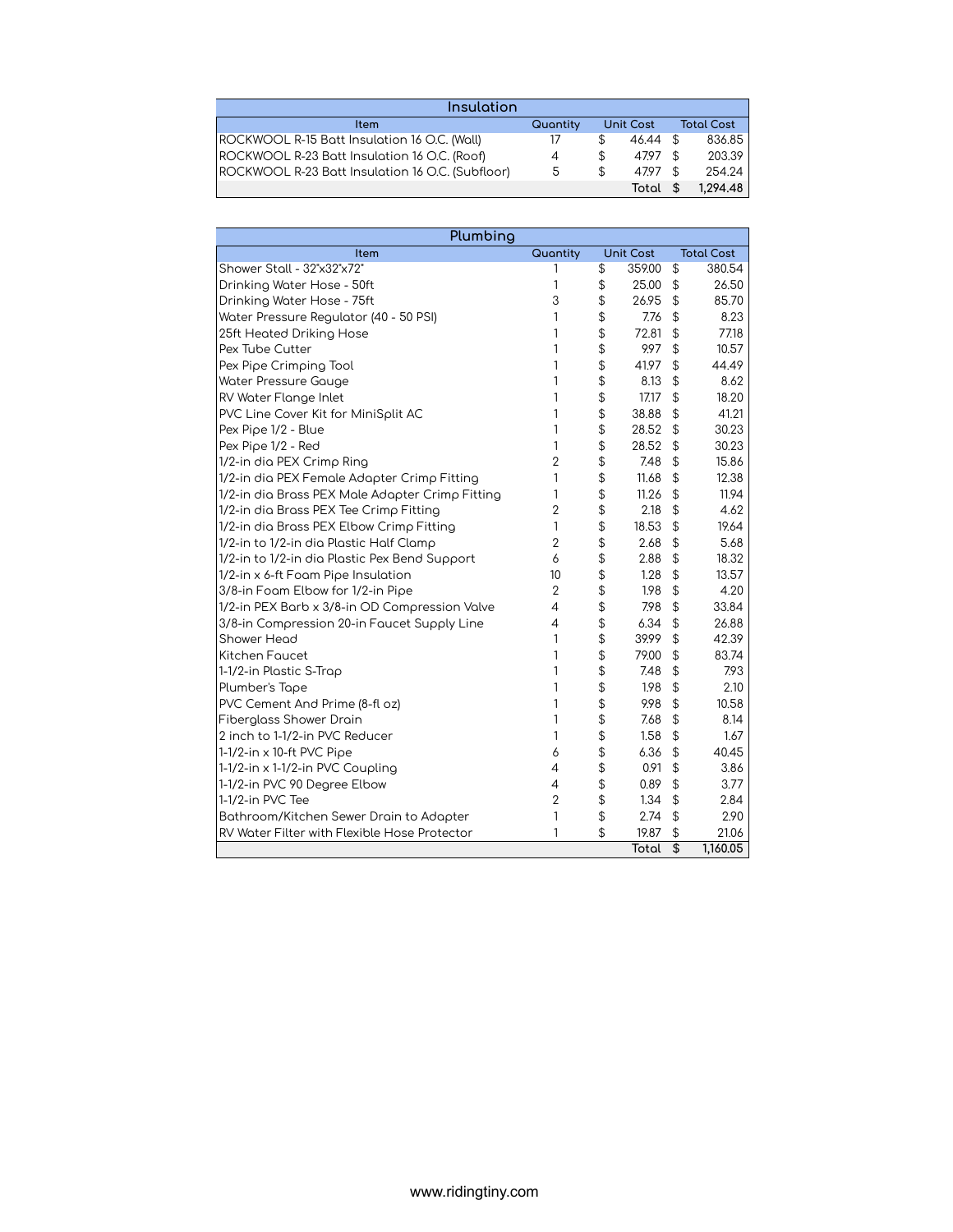| Insulation                                          |          |                  |          |      |          |  |                   |
|-----------------------------------------------------|----------|------------------|----------|------|----------|--|-------------------|
| <b>Item</b>                                         | Quantity | <b>Unit Cost</b> |          |      |          |  | <b>Total Cost</b> |
| <b>ROCKWOOL R-15 Batt Insulation 16 O.C. (Wall)</b> | 17       | S                | 46.44 \$ |      | 836.85   |  |                   |
| ROCKWOOL R-23 Batt Insulation 16 O.C. (Roof)        | 4        | S                | 47.97 \$ |      | 203.39   |  |                   |
| ROCKWOOL R-23 Batt Insulation 16 O.C. (Subfloor)    | 5        | \$               | 4797     | - \$ | 254.24   |  |                   |
|                                                     |          |                  | Total \$ |      | 1.294.48 |  |                   |

| Plumbing                                            |                |                          |           |                                               |                   |
|-----------------------------------------------------|----------------|--------------------------|-----------|-----------------------------------------------|-------------------|
| Item                                                | Quantity       |                          | Unit Cost |                                               | <b>Total Cost</b> |
| Shower Stall - 32"x32"x72"                          |                | $\overline{\mathcal{L}}$ | 359.00    | \$                                            | 380.54            |
| Drinking Water Hose - 50ft                          | 1              | \$                       | 25.00     | \$                                            | 26.50             |
| Drinking Water Hose - 75ft                          | 3              | \$                       | 26.95     | \$                                            | 85.70             |
| Water Pressure Regulator (40 - 50 PSI)              | 1              | \$                       | 7.76      | \$                                            | 8.23              |
| 25ft Heated Driking Hose                            | 1              | \$                       | 72.81     | \$                                            | 77.18             |
| <b>Pex Tube Cutter</b>                              | 1              | \$                       | 9.97      | \$                                            | 10.57             |
| Pex Pipe Crimping Tool                              | 1              | \$                       | 41.97     | \$                                            | 44.49             |
| Water Pressure Gauge                                | 1              | \$                       | 8.13      | \$                                            | 8.62              |
| <b>RV Water Flange Inlet</b>                        | 1              | \$                       | 17.17     | \$                                            | 18.20             |
| PVC Line Cover Kit for MiniSplit AC                 | 1              | \$                       | 38.88     | \$                                            | 41.21             |
| Pex Pipe 1/2 - Blue                                 | 1              | \$                       | 28.52     | \$                                            | 30.23             |
| Pex Pipe 1/2 - Red                                  | 1              | \$                       | 28.52     | $$\mathfrak{P}$$                              | 30.23             |
| 1/2-in dia PEX Crimp Ring                           | $\overline{2}$ | \$                       | 7.48      | $$\mathfrak{P}$$                              | 15.86             |
| 1/2-in dia PEX Female Adapter Crimp Fitting         | 1              | \$                       | 11.68     | \$                                            | 12.38             |
| 1/2-in dia Brass PEX Male Adapter Crimp Fitting     | 1              | \$                       | 11.26     | \$                                            | 11.94             |
| 1/2-in dia Brass PEX Tee Crimp Fitting              | $\overline{2}$ | \$                       | 2.18      | \$                                            | 4.62              |
| 1/2-in dia Brass PEX Elbow Crimp Fitting            | 1              | \$                       | 18.53     | $\mathfrak{D}$                                | 19.64             |
| 1/2-in to 1/2-in dia Plastic Half Clamp             | $\overline{2}$ | \$                       | 2.68      | \$                                            | 5.68              |
| 1/2-in to 1/2-in dia Plastic Pex Bend Support       | 6              | \$                       | 2.88      | \$                                            | 18.32             |
| 1/2-in x 6-ft Foam Pipe Insulation                  | 10             | \$                       | 1.28      | \$                                            | 13.57             |
| 3/8-in Foam Elbow for 1/2-in Pipe                   | $\overline{2}$ | \$                       | 1.98      | $\frac{1}{2}$                                 | 4.20              |
| 1/2-in PEX Barb x 3/8-in OD Compression Valve       | 4              | \$                       | 7.98      | $\, \, \mathsf{S}$                            | 33.84             |
| 3/8-in Compression 20-in Faucet Supply Line         | 4              | \$                       | 6.34      | $\, \, \raisebox{12pt}{$\scriptstyle \circ$}$ | 26.88             |
| Shower Head                                         | 1              | \$                       | 39.99     | \$                                            | 42.39             |
| Kitchen Faucet                                      | 1              | \$                       | 79.00     | \$                                            | 83.74             |
| 1-1/2-in Plastic S-Trap                             | 1              | \$                       | 7.48      | \$                                            | 7.93              |
| Plumber's Tape                                      | 1              | \$                       | 1.98      | \$                                            | 2.10              |
| PVC Cement And Prime (8-fl oz)                      | 1              | \$                       | 9.98      | $\frac{1}{2}$                                 | 10.58             |
| <b>Fiberglass Shower Drain</b>                      | 1              | \$                       | 7.68      | \$                                            | 8.14              |
| 2 inch to 1-1/2-in PVC Reducer                      | 1              | \$                       | 1.58      | \$                                            | 1.67              |
| 1-1/2-in x 10-ft PVC Pipe                           | 6              | \$                       | 6.36      | $$\mathfrak{P}$$                              | 40.45             |
| 1-1/2-in x 1-1/2-in PVC Coupling                    | $\overline{4}$ | \$                       | 0.91      | $$\mathfrak{P}$$                              | 3.86              |
| 1-1/2-in PVC 90 Degree Elbow                        | 4              | \$                       | 0.89      | \$                                            | 3.77              |
| 1-1/2-in PVC Tee                                    | $\overline{2}$ | \$                       | 1.34      | \$                                            | 2.84              |
| Bathroom/Kitchen Sewer Drain to Adapter             | 1              | \$                       | 2.74      | \$                                            | 2.90              |
| <b>RV Water Filter with Flexible Hose Protector</b> | 1              | \$                       | 19.87     | \$                                            | 21.06             |
|                                                     |                |                          | Total     | \$                                            | 1,160.05          |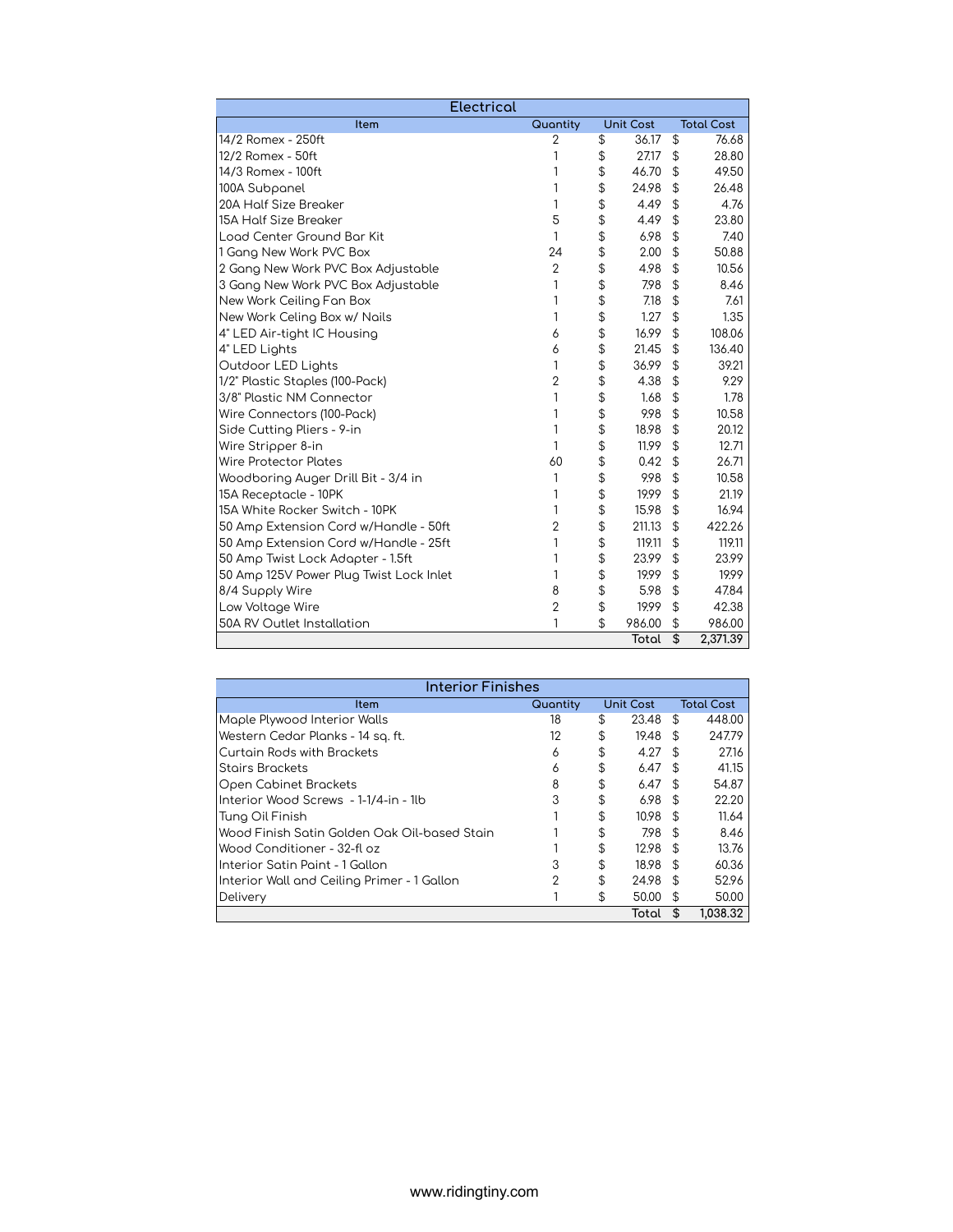| <b>Electrical</b>                       |                |                  |                   |
|-----------------------------------------|----------------|------------------|-------------------|
| Item                                    | Quantity       | <b>Unit Cost</b> | <b>Total Cost</b> |
| 14/2 Romex - 250ft                      | $\overline{2}$ | \$<br>36.17      | \$<br>76.68       |
| 12/2 Romex - 50ft                       | 1              | \$<br>27.17      | \$<br>28.80       |
| 14/3 Romex - 100ft                      | 1              | \$<br>46.70      | \$<br>49.50       |
| 100A Subpanel                           | 1              | \$<br>24.98      | \$<br>26.48       |
| 20A Half Size Breaker                   | 1              | \$<br>4.49       | \$<br>4.76        |
| <b>15A Half Size Breaker</b>            | 5              | \$<br>4.49       | \$<br>23.80       |
| Load Center Ground Bar Kit              | 1              | \$<br>6.98       | \$<br>7.40        |
| 1 Gang New Work PVC Box                 | 24             | \$<br>2.00       | \$<br>50.88       |
| 2 Gang New Work PVC Box Adjustable      | $\overline{2}$ | \$<br>4.98       | \$<br>10.56       |
| 3 Gang New Work PVC Box Adjustable      | 1              | \$<br>7.98       | \$<br>8.46        |
| New Work Ceiling Fan Box                | 1              | \$<br>7.18       | \$<br>7.61        |
| New Work Celing Box w/ Nails            | 1              | \$<br>1.27       | \$<br>1.35        |
| 4" LED Air-tight IC Housing             | 6              | \$<br>16.99      | \$<br>108.06      |
| 4" LED Lights                           | 6              | \$<br>21.45      | \$<br>136.40      |
| Outdoor LED Lights                      | 1              | \$<br>36.99      | \$<br>39.21       |
| 1/2" Plastic Staples (100-Pack)         | $\overline{2}$ | \$<br>4.38       | \$<br>9.29        |
| 3/8" Plastic NM Connector               | 1              | \$<br>1.68       | \$<br>1.78        |
| Wire Connectors (100-Pack)              | 1              | \$<br>9.98       | \$<br>10.58       |
| Side Cutting Pliers - 9-in              | 1              | \$<br>18.98      | \$<br>20.12       |
| Wire Stripper 8-in                      | 1              | \$<br>11.99      | \$<br>12.71       |
| Wire Protector Plates                   | 60             | \$<br>0.42       | \$<br>26.71       |
| Woodboring Auger Drill Bit - 3/4 in     | 1              | \$<br>9.98       | \$<br>10.58       |
| 15A Receptacle - 10PK                   | 1              | \$<br>19.99      | \$<br>21.19       |
| 15A White Rocker Switch - 10PK          | 1              | \$<br>15.98      | \$<br>16.94       |
| 50 Amp Extension Cord w/Handle - 50ft   | $\overline{2}$ | \$<br>211.13     | \$<br>422.26      |
| 50 Amp Extension Cord w/Handle - 25ft   | 1              | \$<br>119.11     | \$<br>119.11      |
| 50 Amp Twist Lock Adapter - 1.5ft       | 1              | \$<br>23.99      | \$<br>23.99       |
| 50 Amp 125V Power Plug Twist Lock Inlet | 1              | \$<br>19.99      | \$<br>19.99       |
| 8/4 Supply Wire                         | 8              | \$<br>5.98       | \$<br>47.84       |
| Low Voltage Wire                        | $\overline{2}$ | \$<br>19.99      | \$<br>42.38       |
| 50A RV Outlet Installation              | 1              | \$<br>986.00     | \$<br>986.00      |
|                                         |                | Total            | \$<br>2,371.39    |

| Interior Finishes                            |          |    |                  |                |                   |  |  |  |
|----------------------------------------------|----------|----|------------------|----------------|-------------------|--|--|--|
| ltem                                         | Quantity |    | <b>Unit Cost</b> |                | <b>Total Cost</b> |  |  |  |
| Maple Plywood Interior Walls                 | 18       | \$ | 23.48            | \$             | 448.00            |  |  |  |
| Western Cedar Planks - 14 sq. ft.            | 12       | \$ | 19.48            | $\mathfrak{L}$ | 247.79            |  |  |  |
| Curtain Rods with Brackets                   | 6        | \$ | 4.27             | - \$           | 27.16             |  |  |  |
| <b>Stairs Brackets</b>                       | 6        | \$ | 6.47             | -S             | 41.15             |  |  |  |
| Open Cabinet Brackets                        | 8        | \$ | 6.47             | - \$           | 54.87             |  |  |  |
| Interior Wood Screws - 1-1/4-in - 1lb        | 3        | \$ | 6.98             | \$             | 22.20             |  |  |  |
| Tung Oil Finish                              |          | \$ | 10.98            | -S             | 11.64             |  |  |  |
| Wood Finish Satin Golden Oak Oil-based Stain |          | \$ | 7.98             | $\mathcal{F}$  | 8.46              |  |  |  |
| Wood Conditioner - 32-fl oz                  |          | \$ | 12.98            | -S             | 13.76             |  |  |  |
| Interior Satin Paint - 1 Gallon              | 3        | \$ | 18.98            | \$             | 60.36             |  |  |  |
| Interior Wall and Ceiling Primer - 1 Gallon  | 2        | \$ | 24.98            | \$             | 52.96             |  |  |  |
| Delivery                                     |          | \$ | 50.00            | S              | 50.00             |  |  |  |
|                                              |          |    | Total            | S              | 1.038.32          |  |  |  |